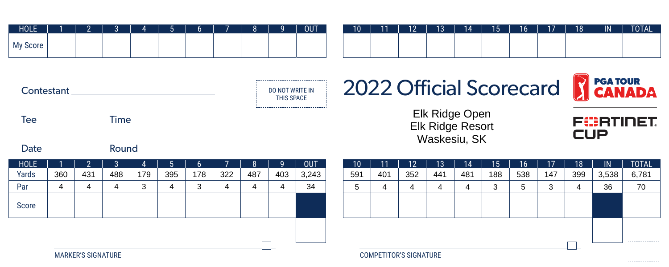| <b>HOLE</b> | $\sqrt{2}$<br>- |  |  |  | <b>OUT</b> |
|-------------|-----------------|--|--|--|------------|
| My Score    |                 |  |  |  |            |

| 10 | 11 | $10^{\circ}$ | 13 | 14 | 15 | 16 <sup>1</sup> | 17 <sup>2</sup> | 18 | IN | <b>TOTAL</b> |
|----|----|--------------|----|----|----|-----------------|-----------------|----|----|--------------|
|    |    |              |    |    |    |                 |                 |    |    |              |
|    |    |              |    |    |    |                 |                 |    |    |              |
|    |    |              |    |    |    |                 |                 |    |    |              |



Tee Time



## 2022 Official Scorecard



FURTINET

.................

**CUP** 

Elk Ridge Open Elk Ridge Resort Waskesiu, SK

Date Round

| <b>HOLE</b>               |     |     |     |     |     |           |     |     | Ω   | <b>OUT</b>                    | 10 <sup>°</sup> | 11  | 12  | 10.<br>ט ו | 14  | 15  | $16^{\circ}$ | 17          | 18                | IN    | <b>TOTAL</b> |
|---------------------------|-----|-----|-----|-----|-----|-----------|-----|-----|-----|-------------------------------|-----------------|-----|-----|------------|-----|-----|--------------|-------------|-------------------|-------|--------------|
| Yards                     | 360 | 431 | 488 | 179 | 395 | 178       | 322 | 487 | 403 | 3,243                         | 591             | 401 | 352 | 441        | 481 | 188 | 538          | 147         | 399               | 3,538 | 6,781        |
| Par                       | 4   | 4   |     |     | 4   | <b>ات</b> |     |     |     | 34                            | ৩               |     | 4   |            | 4   | 3   |              | $\sim$<br>w |                   | 36    | 70           |
| Score                     |     |     |     |     |     |           |     |     |     |                               |                 |     |     |            |     |     |              |             |                   |       |              |
| <b>MARKER'S SIGNATURE</b> |     |     |     |     |     |           |     |     |     | <b>COMPETITOR'S SIGNATURE</b> |                 |     |     |            |     |     | __           |             | ----------------- |       |              |